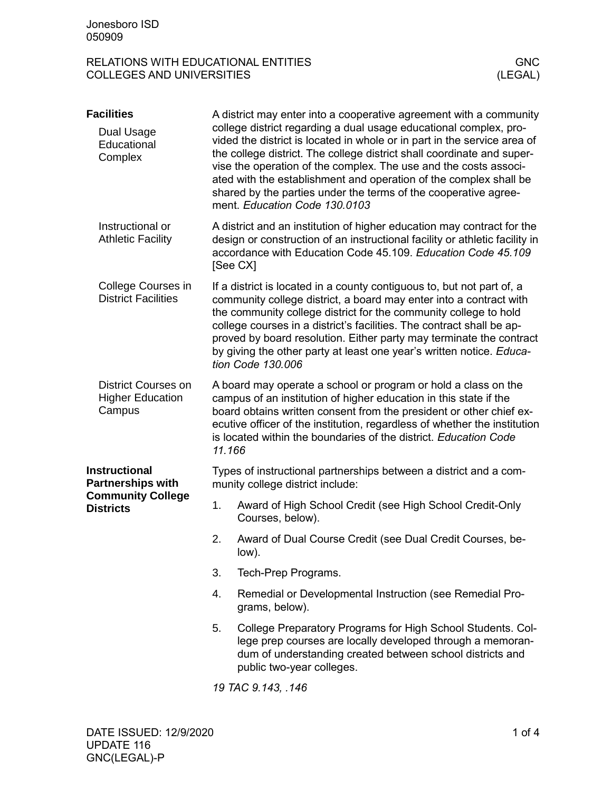## RELATIONS WITH EDUCATIONAL ENTITIES<br>COLLEGES AND UNIVERSITIES (LEGAL) COLLEGES AND UNIVERSITIES

| <b>Facilities</b>                                                                                |                                                                                                                                                                                                                                                                                                                                                                                                                                                               | A district may enter into a cooperative agreement with a community                                                                                                                                                                                                                                                                                                                                                                                                   |  |
|--------------------------------------------------------------------------------------------------|---------------------------------------------------------------------------------------------------------------------------------------------------------------------------------------------------------------------------------------------------------------------------------------------------------------------------------------------------------------------------------------------------------------------------------------------------------------|----------------------------------------------------------------------------------------------------------------------------------------------------------------------------------------------------------------------------------------------------------------------------------------------------------------------------------------------------------------------------------------------------------------------------------------------------------------------|--|
| Dual Usage<br>Educational<br>Complex                                                             |                                                                                                                                                                                                                                                                                                                                                                                                                                                               | college district regarding a dual usage educational complex, pro-<br>vided the district is located in whole or in part in the service area of<br>the college district. The college district shall coordinate and super-<br>vise the operation of the complex. The use and the costs associ-<br>ated with the establishment and operation of the complex shall be<br>shared by the parties under the terms of the cooperative agree-<br>ment. Education Code 130.0103 |  |
| Instructional or<br><b>Athletic Facility</b>                                                     |                                                                                                                                                                                                                                                                                                                                                                                                                                                               | A district and an institution of higher education may contract for the<br>design or construction of an instructional facility or athletic facility in<br>accordance with Education Code 45.109. Education Code 45.109<br>[See CX]                                                                                                                                                                                                                                    |  |
| College Courses in<br><b>District Facilities</b>                                                 | If a district is located in a county contiguous to, but not part of, a<br>community college district, a board may enter into a contract with<br>the community college district for the community college to hold<br>college courses in a district's facilities. The contract shall be ap-<br>proved by board resolution. Either party may terminate the contract<br>by giving the other party at least one year's written notice. Educa-<br>tion Code 130.006 |                                                                                                                                                                                                                                                                                                                                                                                                                                                                      |  |
| District Courses on<br><b>Higher Education</b><br>Campus                                         | A board may operate a school or program or hold a class on the<br>campus of an institution of higher education in this state if the<br>board obtains written consent from the president or other chief ex-<br>ecutive officer of the institution, regardless of whether the institution<br>is located within the boundaries of the district. Education Code<br>11.166                                                                                         |                                                                                                                                                                                                                                                                                                                                                                                                                                                                      |  |
| <b>Instructional</b><br><b>Partnerships with</b><br><b>Community College</b><br><b>Districts</b> | Types of instructional partnerships between a district and a com-<br>munity college district include:                                                                                                                                                                                                                                                                                                                                                         |                                                                                                                                                                                                                                                                                                                                                                                                                                                                      |  |
|                                                                                                  | 1.                                                                                                                                                                                                                                                                                                                                                                                                                                                            | Award of High School Credit (see High School Credit-Only<br>Courses, below).                                                                                                                                                                                                                                                                                                                                                                                         |  |
|                                                                                                  | 2.                                                                                                                                                                                                                                                                                                                                                                                                                                                            | Award of Dual Course Credit (see Dual Credit Courses, be-<br>low).                                                                                                                                                                                                                                                                                                                                                                                                   |  |
|                                                                                                  | 3.                                                                                                                                                                                                                                                                                                                                                                                                                                                            | Tech-Prep Programs.                                                                                                                                                                                                                                                                                                                                                                                                                                                  |  |
|                                                                                                  | 4.                                                                                                                                                                                                                                                                                                                                                                                                                                                            | Remedial or Developmental Instruction (see Remedial Pro-<br>grams, below).                                                                                                                                                                                                                                                                                                                                                                                           |  |
|                                                                                                  | 5.                                                                                                                                                                                                                                                                                                                                                                                                                                                            | College Preparatory Programs for High School Students. Col-<br>lege prep courses are locally developed through a memoran-<br>dum of understanding created between school districts and<br>public two-year colleges.                                                                                                                                                                                                                                                  |  |
|                                                                                                  |                                                                                                                                                                                                                                                                                                                                                                                                                                                               | 19 TAC 9.143, .146                                                                                                                                                                                                                                                                                                                                                                                                                                                   |  |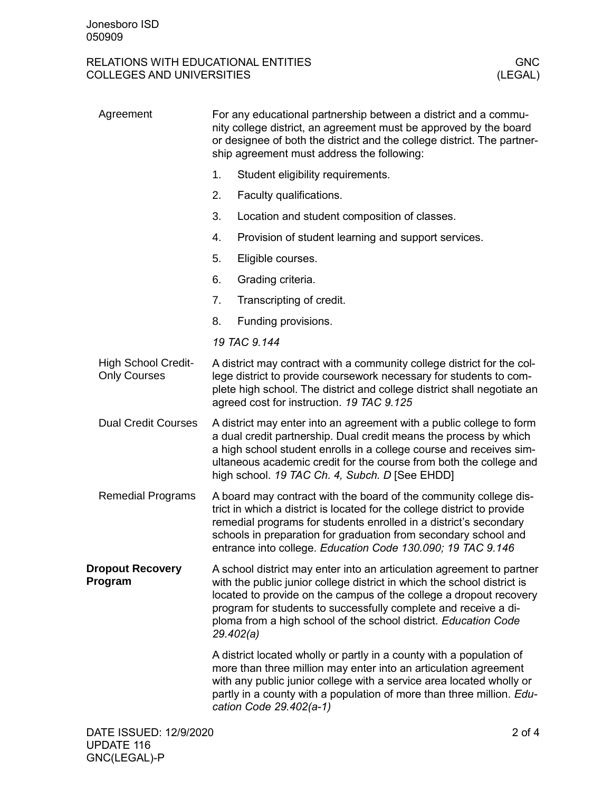## RELATIONS WITH EDUCATIONAL ENTITIES<br>COLLEGES AND UNIVERSITIES (LEGAL) COLLEGES AND UNIVERSITIES

| Agreement                                         | For any educational partnership between a district and a commu-<br>nity college district, an agreement must be approved by the board<br>or designee of both the district and the college district. The partner-<br>ship agreement must address the following:                                                                                                             |                                                                                                                                                                                                                                                                                                                      |  |
|---------------------------------------------------|---------------------------------------------------------------------------------------------------------------------------------------------------------------------------------------------------------------------------------------------------------------------------------------------------------------------------------------------------------------------------|----------------------------------------------------------------------------------------------------------------------------------------------------------------------------------------------------------------------------------------------------------------------------------------------------------------------|--|
|                                                   | 1.                                                                                                                                                                                                                                                                                                                                                                        | Student eligibility requirements.                                                                                                                                                                                                                                                                                    |  |
|                                                   | 2.                                                                                                                                                                                                                                                                                                                                                                        | Faculty qualifications.                                                                                                                                                                                                                                                                                              |  |
|                                                   | 3.                                                                                                                                                                                                                                                                                                                                                                        | Location and student composition of classes.                                                                                                                                                                                                                                                                         |  |
|                                                   | 4.                                                                                                                                                                                                                                                                                                                                                                        | Provision of student learning and support services.                                                                                                                                                                                                                                                                  |  |
|                                                   | 5.                                                                                                                                                                                                                                                                                                                                                                        | Eligible courses.                                                                                                                                                                                                                                                                                                    |  |
|                                                   | 6.                                                                                                                                                                                                                                                                                                                                                                        | Grading criteria.                                                                                                                                                                                                                                                                                                    |  |
|                                                   | 7.                                                                                                                                                                                                                                                                                                                                                                        | Transcripting of credit.                                                                                                                                                                                                                                                                                             |  |
|                                                   | 8.                                                                                                                                                                                                                                                                                                                                                                        | Funding provisions.                                                                                                                                                                                                                                                                                                  |  |
|                                                   |                                                                                                                                                                                                                                                                                                                                                                           | 19 TAC 9.144                                                                                                                                                                                                                                                                                                         |  |
| <b>High School Credit-</b><br><b>Only Courses</b> | A district may contract with a community college district for the col-<br>lege district to provide coursework necessary for students to com-<br>plete high school. The district and college district shall negotiate an<br>agreed cost for instruction. 19 TAC 9.125                                                                                                      |                                                                                                                                                                                                                                                                                                                      |  |
| <b>Dual Credit Courses</b>                        | A district may enter into an agreement with a public college to form<br>a dual credit partnership. Dual credit means the process by which<br>a high school student enrolls in a college course and receives sim-<br>ultaneous academic credit for the course from both the college and<br>high school. 19 TAC Ch. 4, Subch. D [See EHDD]                                  |                                                                                                                                                                                                                                                                                                                      |  |
| <b>Remedial Programs</b>                          | A board may contract with the board of the community college dis-<br>trict in which a district is located for the college district to provide<br>remedial programs for students enrolled in a district's secondary<br>schools in preparation for graduation from secondary school and<br>entrance into college. Education Code 130.090; 19 TAC 9.146                      |                                                                                                                                                                                                                                                                                                                      |  |
| <b>Dropout Recovery</b><br>Program                | A school district may enter into an articulation agreement to partner<br>with the public junior college district in which the school district is<br>located to provide on the campus of the college a dropout recovery<br>program for students to successfully complete and receive a di-<br>ploma from a high school of the school district. Education Code<br>29.402(a) |                                                                                                                                                                                                                                                                                                                      |  |
|                                                   |                                                                                                                                                                                                                                                                                                                                                                           | A district located wholly or partly in a county with a population of<br>more than three million may enter into an articulation agreement<br>with any public junior college with a service area located wholly or<br>partly in a county with a population of more than three million. Edu-<br>cation Code 29.402(a-1) |  |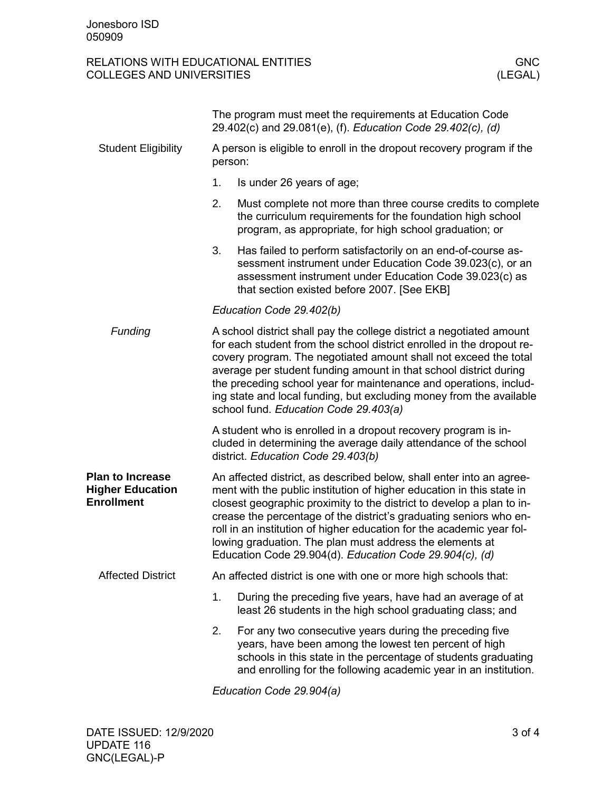## RELATIONS WITH EDUCATIONAL ENTITIES GNC GNC<br>COLLEGES AND UNIVERSITIES (LEGAL) COLLEGES AND UNIVERSITIES

|                                                                         | The program must meet the requirements at Education Code<br>29.402(c) and 29.081(e), (f). Education Code 29.402(c), (d)                                                                                                                                                                                                                                                                                                                                                                      |                                                                                                                                                                                                                                                        |  |  |
|-------------------------------------------------------------------------|----------------------------------------------------------------------------------------------------------------------------------------------------------------------------------------------------------------------------------------------------------------------------------------------------------------------------------------------------------------------------------------------------------------------------------------------------------------------------------------------|--------------------------------------------------------------------------------------------------------------------------------------------------------------------------------------------------------------------------------------------------------|--|--|
| <b>Student Eligibility</b>                                              | A person is eligible to enroll in the dropout recovery program if the<br>person:                                                                                                                                                                                                                                                                                                                                                                                                             |                                                                                                                                                                                                                                                        |  |  |
|                                                                         | 1.                                                                                                                                                                                                                                                                                                                                                                                                                                                                                           | Is under 26 years of age;                                                                                                                                                                                                                              |  |  |
|                                                                         | 2.                                                                                                                                                                                                                                                                                                                                                                                                                                                                                           | Must complete not more than three course credits to complete<br>the curriculum requirements for the foundation high school<br>program, as appropriate, for high school graduation; or                                                                  |  |  |
|                                                                         | 3.                                                                                                                                                                                                                                                                                                                                                                                                                                                                                           | Has failed to perform satisfactorily on an end-of-course as-<br>sessment instrument under Education Code 39.023(c), or an<br>assessment instrument under Education Code 39.023(c) as<br>that section existed before 2007. [See EKB]                    |  |  |
|                                                                         | Education Code 29.402(b)                                                                                                                                                                                                                                                                                                                                                                                                                                                                     |                                                                                                                                                                                                                                                        |  |  |
| Funding                                                                 | A school district shall pay the college district a negotiated amount<br>for each student from the school district enrolled in the dropout re-<br>covery program. The negotiated amount shall not exceed the total<br>average per student funding amount in that school district during<br>the preceding school year for maintenance and operations, includ-<br>ing state and local funding, but excluding money from the available<br>school fund. Education Code 29.403(a)                  |                                                                                                                                                                                                                                                        |  |  |
|                                                                         | A student who is enrolled in a dropout recovery program is in-<br>cluded in determining the average daily attendance of the school<br>district. Education Code 29.403(b)                                                                                                                                                                                                                                                                                                                     |                                                                                                                                                                                                                                                        |  |  |
| <b>Plan to Increase</b><br><b>Higher Education</b><br><b>Enrollment</b> | An affected district, as described below, shall enter into an agree-<br>ment with the public institution of higher education in this state in<br>closest geographic proximity to the district to develop a plan to in-<br>crease the percentage of the district's graduating seniors who en-<br>roll in an institution of higher education for the academic year fol-<br>lowing graduation. The plan must address the elements at<br>Education Code 29.904(d). Education Code 29.904(c), (d) |                                                                                                                                                                                                                                                        |  |  |
| <b>Affected District</b>                                                | An affected district is one with one or more high schools that:                                                                                                                                                                                                                                                                                                                                                                                                                              |                                                                                                                                                                                                                                                        |  |  |
|                                                                         | 1.                                                                                                                                                                                                                                                                                                                                                                                                                                                                                           | During the preceding five years, have had an average of at<br>least 26 students in the high school graduating class; and                                                                                                                               |  |  |
|                                                                         | 2.                                                                                                                                                                                                                                                                                                                                                                                                                                                                                           | For any two consecutive years during the preceding five<br>years, have been among the lowest ten percent of high<br>schools in this state in the percentage of students graduating<br>and enrolling for the following academic year in an institution. |  |  |

*Education Code 29.904(a)*